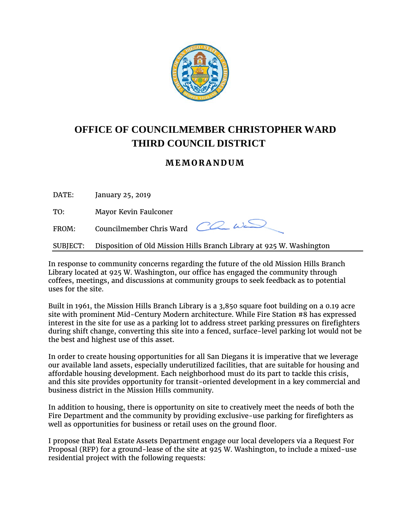

## **OFFICE OF COUNCILMEMBER CHRISTOPHER WARD THIRD COUNCIL DISTRICT**

## **MEMORANDUM**

DATE: January 25, 2019

TO: Mayor Kevin Faulconer

FROM: Councilmember Chris Ward  $\overline{CC}$   $\omega \leq$ 

SUBJECT: Disposition of Old Mission Hills Branch Library at 925 W. Washington

In response to community concerns regarding the future of the old Mission Hills Branch Library located at 925 W. Washington, our office has engaged the community through coffees, meetings, and discussions at community groups to seek feedback as to potential uses for the site.

Built in 1961, the Mission Hills Branch Library is a 3,850 square foot building on a 0.19 acre site with prominent Mid-Century Modern architecture. While Fire Station #8 has expressed interest in the site for use as a parking lot to address street parking pressures on firefighters during shift change, converting this site into a fenced, surface-level parking lot would not be the best and highest use of this asset.

In order to create housing opportunities for all San Diegans it is imperative that we leverage our available land assets, especially underutilized facilities, that are suitable for housing and affordable housing development. Each neighborhood must do its part to tackle this crisis, and this site provides opportunity for transit-oriented development in a key commercial and business district in the Mission Hills community.

In addition to housing, there is opportunity on site to creatively meet the needs of both the Fire Department and the community by providing exclusive-use parking for firefighters as well as opportunities for business or retail uses on the ground floor.

I propose that Real Estate Assets Department engage our local developers via a Request For Proposal (RFP) for a ground-lease of the site at 925 W. Washington, to include a mixed-use residential project with the following requests: